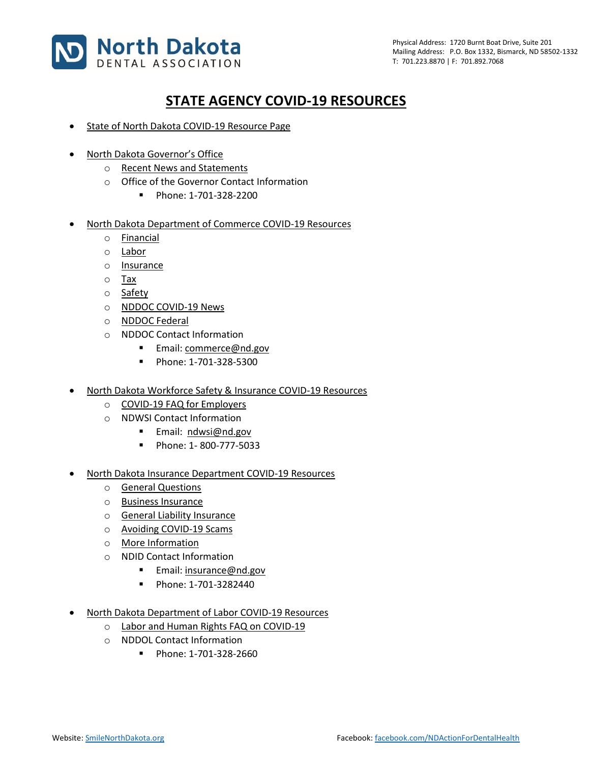

## **STATE AGENCY COVID-19 RESOURCES**

- [State of North Dakota COVID-19 Resource Page](https://ndresponse.gov/covid-19-resources)
- North [Dakota Governor's Office](https://www.governor.nd.gov/)
	- o [Recent News and Statements](https://www.governor.nd.gov/news)
	- o Office of the Governor Contact Information
		- Phone: 1-701-328-2200
- [North Dakota Department of Commerce COVID-19 Resources](https://ndresponse.gov/covid-19-resources/covid-19-business-and-employer-resources)
	- o [Financial](https://ndresponse.gov/covid-19-resources/covid-19-business-and-employer-resources/financial-resources)
	- o [Labor](https://ndresponse.gov/covid-19-resources/covid-19-business-and-employer-resources/covid-19-business-and-employer-labor)
	- o [Insurance](https://ndresponse.gov/covid-19-resources/covid-19-business-and-employer-resources/insurance-resources)
	- o [Tax](https://ndresponse.gov/covid-19-resources/covid-19-business-and-employer-resources/covid-19-business-and-employer-tax)
	- o [Safety](https://ndresponse.gov/covid-19-resources/covid-19-business-and-employer-resources/covid-19-business-and-employer-workers)
	- o [NDDOC COVID-19 News](https://www.commerce.nd.gov/news/COVID19NewsUpdates/)
	- o [NDDOC Federal](https://www.commerce.nd.gov/)
	- o NDDOC Contact Information
		- **Email:** [commerce@nd.gov](mailto:commerce@nd.gov)
			- Phone: 1-701-328-5300
- [North Dakota Workforce Safety & Insurance COVID-19 Resources](https://www.workforcesafety.com/news/covid-19-frequently-asked-questions-employers)
	- o [COVID-19 FAQ for Employers](https://www.workforcesafety.com/sites/www/files/documents/employers/resources/WSI%20COVID%20Employers.pdf)
	- o NDWSI Contact Information
		- Email: [ndwsi@nd.gov](mailto:ndwsi@nd.gov)
		- Phone: 1- 800-777-5033
- [North Dakota Insurance Department COVID-19 Resources](https://www.nd.gov/ndins/covid-19-coronavirus-and-insurance)
	- o [General Questions](https://www.nd.gov/ndins/covid-19-coronavirus-and-insurance)
	- o [Business Insurance](https://www.nd.gov/ndins/covid-19-coronavirus-and-insurance)
	- o [General Liability Insurance](https://www.nd.gov/ndins/covid-19-coronavirus-and-insurance)
	- o [Avoiding COVID-19 Scams](https://www.nd.gov/ndins/covid-19-coronavirus-and-insurance)
	- o [More Information](https://www.nd.gov/ndins/covid-19-coronavirus-and-insurance)
	- o NDID Contact Information
		- Email: [insurance@nd.gov](mailto:insurance@nd.gov)
		- Phone: 1-701-3282440
- [North Dakota Department of Labor COVID-19 Resources](https://www.nd.gov/labor/labor-and-human-rights-faq-covid-19-coronavirus)
	- o [Labor and Human Rights FAQ on COVID-19](https://www.nd.gov/labor/sites/www/files/documents/Labor%20and%20Human%20Rights%20FAQ.pdf)
	- o NDDOL Contact Information
		- Phone: 1-701-328-2660